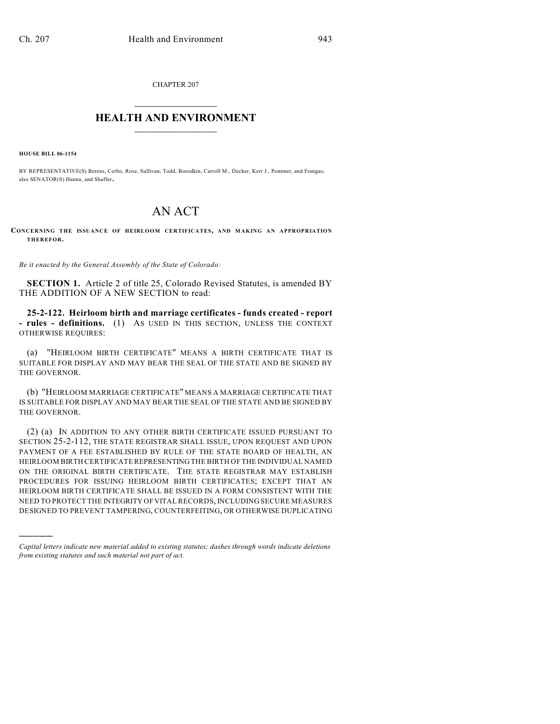CHAPTER 207  $\overline{\phantom{a}}$  . The set of the set of the set of the set of the set of the set of the set of the set of the set of the set of the set of the set of the set of the set of the set of the set of the set of the set of the set o

## **HEALTH AND ENVIRONMENT**  $\_$

**HOUSE BILL 06-1154**

)))))

BY REPRESENTATIVE(S) Berens, Cerbo, Rose, Sullivan, Todd, Borodkin, Carroll M., Decker, Kerr J., Pommer, and Frangas; also SENATOR(S) Hanna, and Shaffer.

## AN ACT

**CONCERNING THE ISSUANCE OF HEIRLOOM CERTIFICATES, AND MAKING AN APPROPRIATION THEREFOR.**

*Be it enacted by the General Assembly of the State of Colorado:*

**SECTION 1.** Article 2 of title 25, Colorado Revised Statutes, is amended BY THE ADDITION OF A NEW SECTION to read:

**25-2-122. Heirloom birth and marriage certificates - funds created - report - rules - definitions.** (1) AS USED IN THIS SECTION, UNLESS THE CONTEXT OTHERWISE REQUIRES:

(a) "HEIRLOOM BIRTH CERTIFICATE" MEANS A BIRTH CERTIFICATE THAT IS SUITABLE FOR DISPLAY AND MAY BEAR THE SEAL OF THE STATE AND BE SIGNED BY THE GOVERNOR.

(b) "HEIRLOOM MARRIAGE CERTIFICATE" MEANS A MARRIAGE CERTIFICATE THAT IS SUITABLE FOR DISPLAY AND MAY BEAR THE SEAL OF THE STATE AND BE SIGNED BY THE GOVERNOR.

(2) (a) IN ADDITION TO ANY OTHER BIRTH CERTIFICATE ISSUED PURSUANT TO SECTION 25-2-112, THE STATE REGISTRAR SHALL ISSUE, UPON REQUEST AND UPON PAYMENT OF A FEE ESTABLISHED BY RULE OF THE STATE BOARD OF HEALTH, AN HEIRLOOM BIRTH CERTIFICATE REPRESENTING THE BIRTH OF THE INDIVIDUAL NAMED ON THE ORIGINAL BIRTH CERTIFICATE. THE STATE REGISTRAR MAY ESTABLISH PROCEDURES FOR ISSUING HEIRLOOM BIRTH CERTIFICATES; EXCEPT THAT AN HEIRLOOM BIRTH CERTIFICATE SHALL BE ISSUED IN A FORM CONSISTENT WITH THE NEED TO PROTECT THE INTEGRITY OF VITAL RECORDS, INCLUDING SECURE MEASURES DESIGNED TO PREVENT TAMPERING, COUNTERFEITING, OR OTHERWISE DUPLICATING

*Capital letters indicate new material added to existing statutes; dashes through words indicate deletions from existing statutes and such material not part of act.*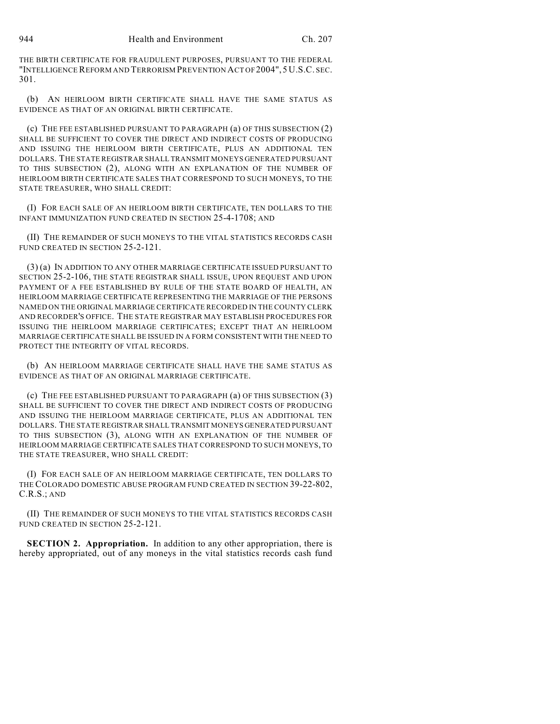THE BIRTH CERTIFICATE FOR FRAUDULENT PURPOSES, PURSUANT TO THE FEDERAL "INTELLIGENCE REFORM AND TERRORISM PREVENTION ACT OF 2004", 5 U.S.C. SEC. 301.

(b) AN HEIRLOOM BIRTH CERTIFICATE SHALL HAVE THE SAME STATUS AS EVIDENCE AS THAT OF AN ORIGINAL BIRTH CERTIFICATE.

(c) THE FEE ESTABLISHED PURSUANT TO PARAGRAPH (a) OF THIS SUBSECTION (2) SHALL BE SUFFICIENT TO COVER THE DIRECT AND INDIRECT COSTS OF PRODUCING AND ISSUING THE HEIRLOOM BIRTH CERTIFICATE, PLUS AN ADDITIONAL TEN DOLLARS. THE STATE REGISTRAR SHALL TRANSMIT MONEYS GENERATED PURSUANT TO THIS SUBSECTION (2), ALONG WITH AN EXPLANATION OF THE NUMBER OF HEIRLOOM BIRTH CERTIFICATE SALES THAT CORRESPOND TO SUCH MONEYS, TO THE STATE TREASURER, WHO SHALL CREDIT:

(I) FOR EACH SALE OF AN HEIRLOOM BIRTH CERTIFICATE, TEN DOLLARS TO THE INFANT IMMUNIZATION FUND CREATED IN SECTION 25-4-1708; AND

(II) THE REMAINDER OF SUCH MONEYS TO THE VITAL STATISTICS RECORDS CASH FUND CREATED IN SECTION 25-2-121.

(3) (a) IN ADDITION TO ANY OTHER MARRIAGE CERTIFICATE ISSUED PURSUANT TO SECTION 25-2-106, THE STATE REGISTRAR SHALL ISSUE, UPON REQUEST AND UPON PAYMENT OF A FEE ESTABLISHED BY RULE OF THE STATE BOARD OF HEALTH, AN HEIRLOOM MARRIAGE CERTIFICATE REPRESENTING THE MARRIAGE OF THE PERSONS NAMED ON THE ORIGINAL MARRIAGE CERTIFICATE RECORDED IN THE COUNTY CLERK AND RECORDER'S OFFICE. THE STATE REGISTRAR MAY ESTABLISH PROCEDURES FOR ISSUING THE HEIRLOOM MARRIAGE CERTIFICATES; EXCEPT THAT AN HEIRLOOM MARRIAGE CERTIFICATE SHALL BE ISSUED IN A FORM CONSISTENT WITH THE NEED TO PROTECT THE INTEGRITY OF VITAL RECORDS.

(b) AN HEIRLOOM MARRIAGE CERTIFICATE SHALL HAVE THE SAME STATUS AS EVIDENCE AS THAT OF AN ORIGINAL MARRIAGE CERTIFICATE.

(c) THE FEE ESTABLISHED PURSUANT TO PARAGRAPH (a) OF THIS SUBSECTION (3) SHALL BE SUFFICIENT TO COVER THE DIRECT AND INDIRECT COSTS OF PRODUCING AND ISSUING THE HEIRLOOM MARRIAGE CERTIFICATE, PLUS AN ADDITIONAL TEN DOLLARS. THE STATE REGISTRAR SHALL TRANSMIT MONEYS GENERATED PURSUANT TO THIS SUBSECTION (3), ALONG WITH AN EXPLANATION OF THE NUMBER OF HEIRLOOM MARRIAGE CERTIFICATE SALES THAT CORRESPOND TO SUCH MONEYS, TO THE STATE TREASURER, WHO SHALL CREDIT:

(I) FOR EACH SALE OF AN HEIRLOOM MARRIAGE CERTIFICATE, TEN DOLLARS TO THE COLORADO DOMESTIC ABUSE PROGRAM FUND CREATED IN SECTION 39-22-802, C.R.S.; AND

(II) THE REMAINDER OF SUCH MONEYS TO THE VITAL STATISTICS RECORDS CASH FUND CREATED IN SECTION 25-2-121.

**SECTION 2. Appropriation.** In addition to any other appropriation, there is hereby appropriated, out of any moneys in the vital statistics records cash fund